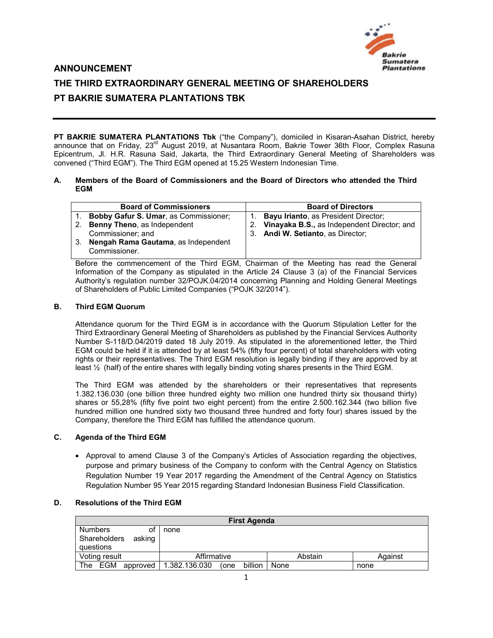

# **ANNOUNCEMENT THE THIRD EXTRAORDINARY GENERAL MEETING OF SHAREHOLDERS PT BAKRIE SUMATERA PLANTATIONS TBK**

**PT BAKRIE SUMATERA PLANTATIONS Tbk** ("the Company"), domiciled in Kisaran-Asahan District, hereby announce that on Friday, 23<sup>rd</sup> August 2019, at Nusantara Room, Bakrie Tower 36th Floor, Complex Rasuna Epicentrum, Jl. H.R. Rasuna Said, Jakarta, the Third Extraordinary General Meeting of Shareholders was convened ("Third EGM"). The Third EGM opened at 15.25 Western Indonesian Time.

#### **A. Members of the Board of Commissioners and the Board of Directors who attended the Third EGM**

|                                                                                         | <b>Board of Commissioners</b>         |    | <b>Board of Directors</b>                   |  |  |  |  |
|-----------------------------------------------------------------------------------------|---------------------------------------|----|---------------------------------------------|--|--|--|--|
| 1.                                                                                      | Bobby Gafur S. Umar, as Commissioner; |    | <b>Bayu Irianto, as President Director;</b> |  |  |  |  |
| 2.                                                                                      | Benny Theno, as Independent           | 2. | Vinayaka B.S., as Independent Director; and |  |  |  |  |
|                                                                                         | Commissioner: and                     | 3. | Andi W. Setianto, as Director;              |  |  |  |  |
| 3.                                                                                      | Nengah Rama Gautama, as Independent   |    |                                             |  |  |  |  |
|                                                                                         | Commissioner.                         |    |                                             |  |  |  |  |
| Define the common contract of the Third DOM Obsimers of the Mostics has seed the Occase |                                       |    |                                             |  |  |  |  |

Before the commencement of the Third EGM, Chairman of the Meeting has read the General Information of the Company as stipulated in the Article 24 Clause 3 (a) of the Financial Services Authority's regulation number 32/POJK.04/2014 concerning Planning and Holding General Meetings of Shareholders of Public Limited Companies ("POJK 32/2014").

### **B. Third EGM Quorum**

Attendance quorum for the Third EGM is in accordance with the Quorum Stipulation Letter for the Third Extraordinary General Meeting of Shareholders as published by the Financial Services Authority Number S-118/D.04/2019 dated 18 July 2019. As stipulated in the aforementioned letter, the Third EGM could be held if it is attended by at least 54% (fifty four percent) of total shareholders with voting rights or their representatives. The Third EGM resolution is legally binding if they are approved by at least ½ (half) of the entire shares with legally binding voting shares presents in the Third EGM.

The Third EGM was attended by the shareholders or their representatives that represents 1.382.136.030 (one billion three hundred eighty two million one hundred thirty six thousand thirty) shares or 55,28% (fifty five point two eight percent) from the entire 2.500.162.344 (two billion five hundred million one hundred sixty two thousand three hundred and forty four) shares issued by the Company, therefore the Third EGM has fulfilled the attendance quorum.

# **C. Agenda of the Third EGM**

 Approval to amend Clause 3 of the Company's Articles of Association regarding the objectives, purpose and primary business of the Company to conform with the Central Agency on Statistics Regulation Number 19 Year 2017 regarding the Amendment of the Central Agency on Statistics Regulation Number 95 Year 2015 regarding Standard Indonesian Business Field Classification.

# **D. Resolutions of the Third EGM**

| <b>First Agenda</b>       |          |               |      |         |      |         |         |  |  |
|---------------------------|----------|---------------|------|---------|------|---------|---------|--|--|
| <b>Numbers</b>            | Оt       | none          |      |         |      |         |         |  |  |
| Shareholders<br>questions | asking   |               |      |         |      |         |         |  |  |
| Voting result             |          | Affirmative   |      |         |      | Abstain | Against |  |  |
| EGM<br>The                | approved | 1.382.136.030 | (one | billion | None |         | none    |  |  |